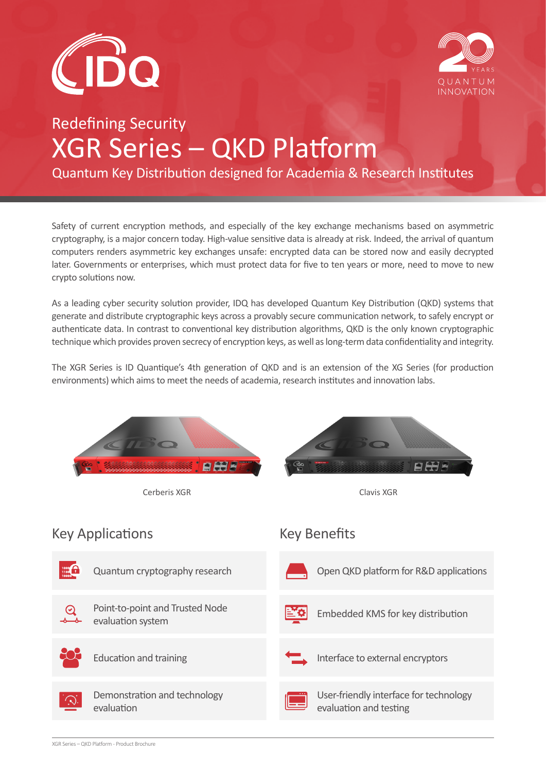



# Redefining Security XGR Series – QKD Platform

Quantum Key Distribution designed for Academia & Research Institutes

Safety of current encryption methods, and especially of the key exchange mechanisms based on asymmetric cryptography, is a major concern today. High-value sensitive data is already at risk. Indeed, the arrival of quantum computers renders asymmetric key exchanges unsafe: encrypted data can be stored now and easily decrypted later. Governments or enterprises, which must protect data for five to ten years or more, need to move to new crypto solutions now.

As a leading cyber security solution provider, IDQ has developed Quantum Key Distribution (QKD) systems that generate and distribute cryptographic keys across a provably secure communication network, to safely encrypt or authenticate data. In contrast to conventional key distribution algorithms, QKD is the only known cryptographic technique which provides proven secrecy of encryption keys, as well as long-term data confidentiality and integrity.

The XGR Series is ID Quantique's 4th generation of QKD and is an extension of the XG Series (for production environments) which aims to meet the needs of academia, research institutes and innovation labs.

| Cerberis XGR<br>Clavis XGR                                                                                                      |  |
|---------------------------------------------------------------------------------------------------------------------------------|--|
| <b>Key Benefits</b><br><b>Key Applications</b>                                                                                  |  |
| $\begin{array}{c} 1000 \\ 1100 \\ 10000 \end{array}$<br>Open QKD platform for R&D applications<br>Quantum cryptography research |  |
| Point-to-point and Trusted Node<br>Embedded KMS for key distribution<br>evaluation system                                       |  |
| <b>Education and training</b><br>Interface to external encryptors                                                               |  |
| Demonstration and technology<br>User-friendly interface for technology<br>evaluation and testing<br>evaluation                  |  |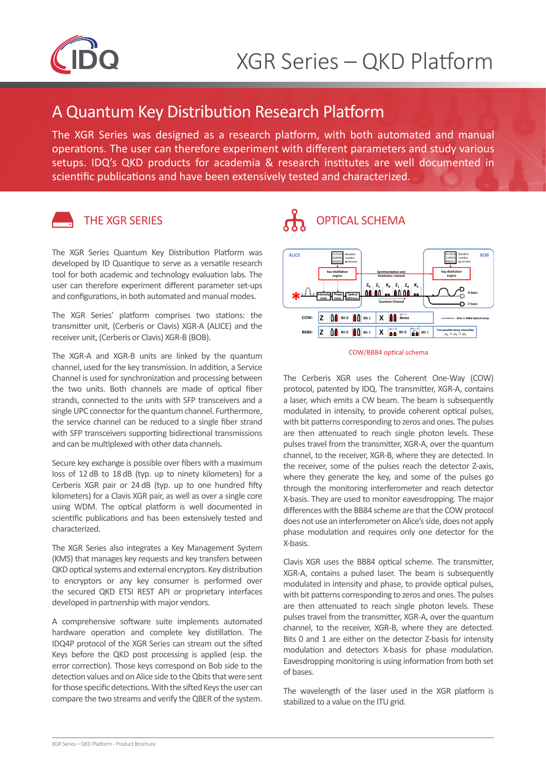

### A Quantum Key Distribution Research Platform

The XGR Series was designed as a research platform, with both automated and manual operations. The user can therefore experiment with different parameters and study various setups. IDQ's QKD products for academia & research institutes are well documented in scientific publications and have been extensively tested and characterized.



### THE XGR SERIES

The XGR Series Quantum Key Distribution Platform was developed by ID Quantique to serve as a versatile research tool for both academic and technology evaluation labs. The user can therefore experiment different parameter set-ups and configurations, in both automated and manual modes.

The XGR Series' platform comprises two stations: the transmitter unit, (Cerberis or Clavis) XGR-A (ALICE) and the receiver unit, (Cerberis or Clavis) XGR-B (BOB).

The XGR-A and XGR-B units are linked by the quantum channel, used for the key transmission. In addition, a Service Channel is used for synchronization and processing between the two units. Both channels are made of optical fiber strands, connected to the units with SFP transceivers and a single UPC connector for the quantum channel. Furthermore, the service channel can be reduced to a single fiber strand with SFP transceivers supporting bidirectional transmissions and can be multiplexed with other data channels.

Secure key exchange is possible over fibers with a maximum loss of 12 dB to 18 dB (typ. up to ninety kilometers) for a Cerberis XGR pair or 24 dB (typ. up to one hundred fifty kilometers) for a Clavis XGR pair, as well as over a single core using WDM. The optical platform is well documented in scientific publications and has been extensively tested and characterized.

The XGR Series also integrates a Key Management System (KMS) that manages key requests and key transfers between QKD optical systems and external encryptors. Key distribution to encryptors or any key consumer is performed over the secured QKD ETSI REST API or proprietary interfaces developed in partnership with major vendors.

A comprehensive software suite implements automated hardware operation and complete key distillation. The IDQ4P protocol of the XGR Series can stream out the sifted Keys before the QKD post processing is applied (esp. the error correction). Those keys correspond on Bob side to the detection values and on Alice side to the Qbits that were sent for those specific detections. With the sifted Keys the user can compare the two streams and verify the QBER of the system.

## OPTICAL SCHEMA



#### COW/BB84 optical schema

The Cerberis XGR uses the Coherent One-Way (COW) protocol, patented by IDQ. The transmitter, XGR-A, contains a laser, which emits a CW beam. The beam is subsequently modulated in intensity, to provide coherent optical pulses, with bit patterns corresponding to zeros and ones. The pulses are then attenuated to reach single photon levels. These pulses travel from the transmitter, XGR-A, over the quantum channel, to the receiver, XGR-B, where they are detected. In the receiver, some of the pulses reach the detector Z-axis, where they generate the key, and some of the pulses go through the monitoring interferometer and reach detector X-basis. They are used to monitor eavesdropping. The major differences with the BB84 scheme are that the COW protocol does not use an interferometer on Alice's side, does not apply phase modulation and requires only one detector for the X-basis.

Clavis XGR uses the BB84 optical scheme. The transmitter, XGR-A, contains a pulsed laser. The beam is subsequently modulated in intensity and phase, to provide optical pulses, with bit patterns corresponding to zeros and ones. The pulses are then attenuated to reach single photon levels. These pulses travel from the transmitter, XGR-A, over the quantum channel, to the receiver, XGR-B, where they are detected. Bits 0 and 1 are either on the detector Z-basis for intensity modulation and detectors X-basis for phase modulation. Eavesdropping monitoring is using information from both set of bases.

The wavelength of the laser used in the XGR platform is stabilized to a value on the ITU grid.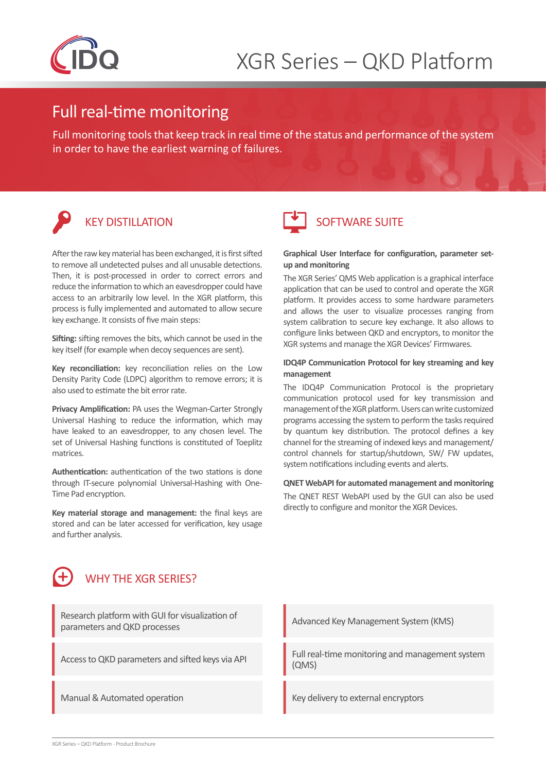

### Full real-time monitoring

Full monitoring tools that keep track in real time of the status and performance of the system in order to have the earliest warning of failures.

## KEY DISTILLATION

After the raw key material has been exchanged, it is first sifted to remove all undetected pulses and all unusable detections. Then, it is post-processed in order to correct errors and reduce the information to which an eavesdropper could have access to an arbitrarily low level. In the XGR platform, this process is fully implemented and automated to allow secure key exchange. It consists of five main steps:

**Sifting:** sifting removes the bits, which cannot be used in the key itself (for example when decoy sequences are sent).

**Key reconciliation:** key reconciliation relies on the Low Density Parity Code (LDPC) algorithm to remove errors; it is also used to estimate the bit error rate.

**Privacy Amplification:** PA uses the Wegman-Carter Strongly Universal Hashing to reduce the information, which may have leaked to an eavesdropper, to any chosen level. The set of Universal Hashing functions is constituted of Toeplitz matrices.

**Authentication:** authentication of the two stations is done through IT-secure polynomial Universal-Hashing with One-Time Pad encryption.

**Key material storage and management:** the final keys are stored and can be later accessed for verification, key usage and further analysis.



### SOFTWARE SUITE

#### **Graphical User Interface for configuration, parameter setup and monitoring**

The XGR Series' QMS Web application is a graphical interface application that can be used to control and operate the XGR platform. It provides access to some hardware parameters and allows the user to visualize processes ranging from system calibration to secure key exchange. It also allows to configure links between QKD and encryptors, to monitor the XGR systems and manage the XGR Devices' Firmwares.

#### **IDQ4P Communication Protocol for key streaming and key management**

The IDQ4P Communication Protocol is the proprietary communication protocol used for key transmission and management of the XGR platform. Users can write customized programs accessing the system to perform the tasks required by quantum key distribution. The protocol defines a key channel for the streaming of indexed keys and management/ control channels for startup/shutdown, SW/ FW updates, system notifications including events and alerts.

#### **QNET WebAPI for automated management and monitoring**

The QNET REST WebAPI used by the GUI can also be used directly to configure and monitor the XGR Devices.



Research platform with GUI for visualization of parameters and QKD processes

Advanced Key Management System (KMS)

Access to QKD parameters and sifted keys via API Full real-time monitoring and management system (QMS)

Manual & Automated operation Key delivery to external encryptors